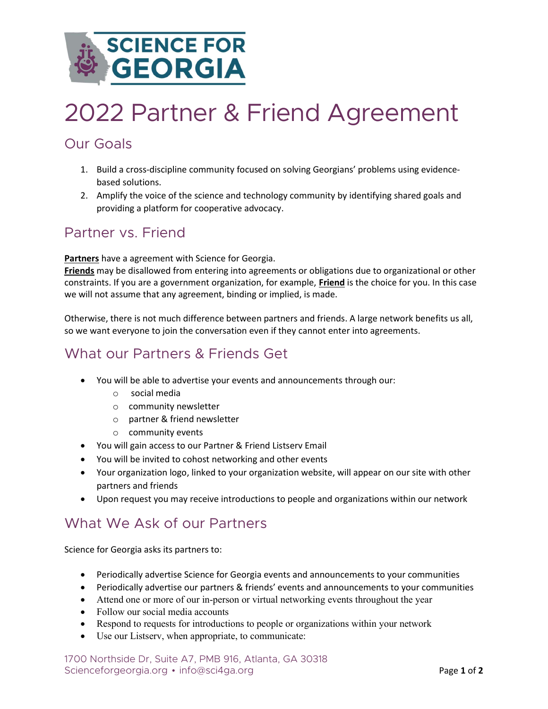

# 2022 Partner & Friend Agreement

#### Our Goals

- 1. Build a cross-discipline community focused on solving Georgians' problems using evidencebased solutions.
- 2. Amplify the voice of the science and technology community by identifying shared goals and providing a platform for cooperative advocacy.

### Partner vs. Friend

Partners have a agreement with Science for Georgia.

Friends may be disallowed from entering into agreements or obligations due to organizational or other constraints. If you are a government organization, for example, Friend is the choice for you. In this case we will not assume that any agreement, binding or implied, is made.

Otherwise, there is not much difference between partners and friends. A large network benefits us all, so we want everyone to join the conversation even if they cannot enter into agreements.

# What our Partners & Friends Get

- You will be able to advertise your events and announcements through our:
	- o social media
	- o community newsletter
	- o partner & friend newsletter
	- o community events
- You will gain access to our Partner & Friend Listserv Email
- You will be invited to cohost networking and other events
- Your organization logo, linked to your organization website, will appear on our site with other partners and friends
- Upon request you may receive introductions to people and organizations within our network

# What We Ask of our Partners

Science for Georgia asks its partners to:

- Periodically advertise Science for Georgia events and announcements to your communities
- Periodically advertise our partners & friends' events and announcements to your communities
- Attend one or more of our in-person or virtual networking events throughout the year
- Follow our social media accounts
- Respond to requests for introductions to people or organizations within your network
- Use our Listserv, when appropriate, to communicate:

1700 Northside Dr, Suite A7, PMB 916, Atlanta, GA 30318 Scienceforgeorgia.org • info@sci4ga.org Page 1 of 2